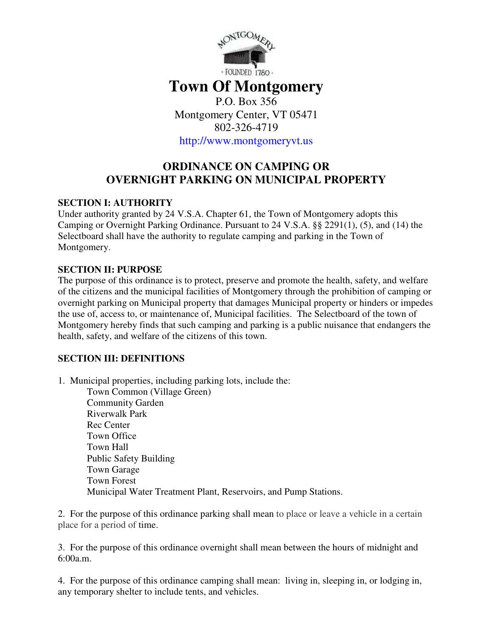

# **Town Of Montgomery**  P.O. Box 356

Montgomery Center, VT 05471 802-326-4719

http://www.montgomeryvt.us

# **ORDINANCE ON CAMPING OR OVERNIGHT PARKING ON MUNICIPAL PROPERTY**

### **SECTION I: AUTHORITY**

Under authority granted by 24 V.S.A. Chapter 61, the Town of Montgomery adopts this Camping or Overnight Parking Ordinance. Pursuant to 24 V.S.A. §§ 2291(1), (5), and (14) the Selectboard shall have the authority to regulate camping and parking in the Town of Montgomery.

### **SECTION II: PURPOSE**

The purpose of this ordinance is to protect, preserve and promote the health, safety, and welfare of the citizens and the municipal facilities of Montgomery through the prohibition of camping or overnight parking on Municipal property that damages Municipal property or hinders or impedes the use of, access to, or maintenance of, Municipal facilities. The Selectboard of the town of Montgomery hereby finds that such camping and parking is a public nuisance that endangers the health, safety, and welfare of the citizens of this town.

## **SECTION III: DEFINITIONS**

1. Municipal properties, including parking lots, include the:

Town Common (Village Green) Community Garden Riverwalk Park Rec Center Town Office Town Hall Public Safety Building Town Garage Town Forest Municipal Water Treatment Plant, Reservoirs, and Pump Stations.

2. For the purpose of this ordinance parking shall mean to place or leave a vehicle in a certain place for a period of time.

3. For the purpose of this ordinance overnight shall mean between the hours of midnight and 6:00a.m.

4. For the purpose of this ordinance camping shall mean: living in, sleeping in, or lodging in, any temporary shelter to include tents, and vehicles.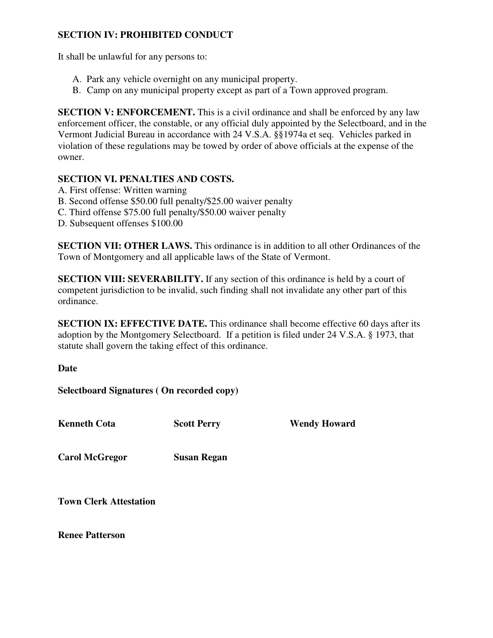### **SECTION IV: PROHIBITED CONDUCT**

It shall be unlawful for any persons to:

- A. Park any vehicle overnight on any municipal property.
- B. Camp on any municipal property except as part of a Town approved program.

**SECTION V: ENFORCEMENT.** This is a civil ordinance and shall be enforced by any law enforcement officer, the constable, or any official duly appointed by the Selectboard, and in the Vermont Judicial Bureau in accordance with 24 V.S.A. §§1974a et seq. Vehicles parked in violation of these regulations may be towed by order of above officials at the expense of the owner.

#### **SECTION VI. PENALTIES AND COSTS.**

- A. First offense: Written warning
- B. Second offense \$50.00 full penalty/\$25.00 waiver penalty
- C. Third offense \$75.00 full penalty/\$50.00 waiver penalty
- D. Subsequent offenses \$100.00

**SECTION VII: OTHER LAWS.** This ordinance is in addition to all other Ordinances of the Town of Montgomery and all applicable laws of the State of Vermont.

**SECTION VIII: SEVERABILITY.** If any section of this ordinance is held by a court of competent jurisdiction to be invalid, such finding shall not invalidate any other part of this ordinance.

**SECTION IX: EFFECTIVE DATE.** This ordinance shall become effective 60 days after its adoption by the Montgomery Selectboard. If a petition is filed under 24 V.S.A. § 1973, that statute shall govern the taking effect of this ordinance.

**Date** 

**Selectboard Signatures ( On recorded copy)** 

**Kenneth Cota Scott Perry Wendy Howard** 

**Carol McGregor Susan Regan** 

**Town Clerk Attestation** 

**Renee Patterson**